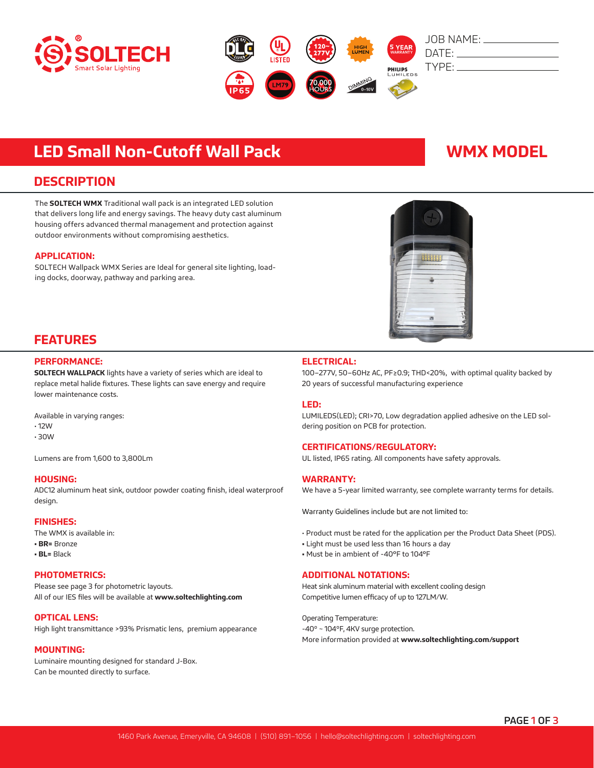



# **LED Small Non-Cutoff Wall Pack WMX MODEL**

## **DESCRIPTION**

The **SOLTECH WMX** Traditional wall pack is an integrated LED solution that delivers long life and energy savings. The heavy duty cast aluminum housing offers advanced thermal management and protection against outdoor environments without compromising aesthetics.

#### **APPLICATION:**

SOLTECH Wallpack WMX Series are Ideal for general site lighting, loading docks, doorway, pathway and parking area.



## **FEATURES**

#### **PERFORMANCE:**

**SOLTECH WALLPACK** lights have a variety of series which are ideal to replace metal halide fixtures. These lights can save energy and require lower maintenance costs.

Available in varying ranges:

- 12W
- 30W

Lumens are from 1,600 to 3,800Lm

#### **HOUSING:**

ADC12 aluminum heat sink, outdoor powder coating finish, ideal waterproof design.

#### **FINISHES:**

The WMX is available in: **• BR=** Bronze

**• BL=** Black

### **PHOTOMETRICS:**

Please see page 3 for photometric layouts. All of our IES files will be available at **www.soltechlighting.com**

### **OPTICAL LENS:**

High light transmittance >93% Prismatic lens, premium appearance

#### **MOUNTING:**

Luminaire mounting designed for standard J-Box. Can be mounted directly to surface.

### **ELECTRICAL:**

100–277V, 50–60Hz AC, PF≥0.9; THD<20%, with optimal quality backed by 20 years of successful manufacturing experience

#### **LED:**

LUMILEDS(LED); CRI>70, Low degradation applied adhesive on the LED soldering position on PCB for protection.

### **CERTIFICATIONS/REGULATORY:**

UL listed, IP65 rating. All components have safety approvals.

### **WARRANTY:**

We have a 5-year limited warranty, see complete warranty terms for details.

Warranty Guidelines include but are not limited to:

- Product must be rated for the application per the Product Data Sheet (PDS).
- Light must be used less than 16 hours a day
- Must be in ambient of -40°F to 104°F

### **ADDITIONAL NOTATIONS:**

Heat sink aluminum material with excellent cooling design Competitive lumen efficacy of up to 127LM/W.

Operating Temperature: -40º ~ 104ºF, 4KV surge protection. More information provided at **www.soltechlighting.com/support**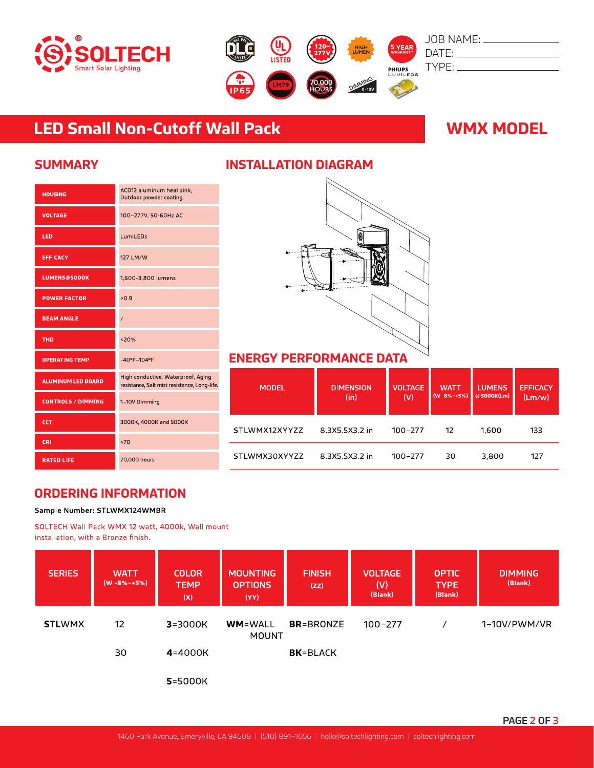



# **LED Small Non-Cutoff Wall Pack WMX MODEL**

| <b>HOUSING</b>            | ACD12 aluminum heat sink,<br>Outdoor powder coating.                               |
|---------------------------|------------------------------------------------------------------------------------|
| <b>VOLTAGE</b>            | 100-277V, 50-60Hz AC                                                               |
| LED                       | LumiLEDs                                                                           |
| <b>EFFICACY</b>           | 127 LM/W                                                                           |
| <b>LUMENS@5000K</b>       | 1,600-3,800 lumens                                                                 |
| <b>POWER FACTOR</b>       | >0.9                                                                               |
| <b>BEAM ANGLE</b>         | 7                                                                                  |
| <b>THD</b>                | 320%                                                                               |
| <b>OPERATING TEMP</b>     | -40°F-104°F                                                                        |
| <b>ALUMINUM LED BOARD</b> | High conductive, Waterproof, Aging<br>resistance, Salt mist resistance, Long-life. |
| <b>CONTROLS / DIMMING</b> | 1-10V Dimming                                                                      |
| CCT                       | 3000K, 4000K and 5000K                                                             |
| CRI                       | >70                                                                                |
| <b>RATED LIFE</b>         | 70,000 hours                                                                       |

## **SUMMARY INSTALLATION DIAGRAM**



## **ENERGY PERFORMANCE DATA**

| <b>MODEL</b>  | <b>DIMENSION</b><br>(in) | <b>VOLTAGE</b><br>(V) | <b>WATT</b><br>$(W - 8\% - +5\%)$ | <b>LUMENS</b><br>@5000K(Lm) | <b>EFFICACY</b><br>(Lm/w) |
|---------------|--------------------------|-----------------------|-----------------------------------|-----------------------------|---------------------------|
| STLWMX12XYYZZ | 8.3X5.5X3.2 in           | $100 - 277$           | 12                                | 1,600                       | 133                       |
| STLWMX30XYYZZ | 8.3X5.5X3.2 in           | 100-277               | 30                                | 3.800                       | 127                       |

## **ORDERING INFORMATION**

Sample Number: STLWMX124WMBR

SOLTECH Wall Pack WMX 12 watt, 4000k, Wall mount installation, with a Bronze finish.

| <b>SERIES</b> | <b>WATT</b><br>$(W - 8\% - 5\%)$ | <b>COLOR</b><br><b>TEMP</b><br>(X) | <b>MOUNTING</b><br><b>OPTIONS</b><br>(YY) | <b>FINISH</b><br>(ZZ) | <b>VOLTAGE</b><br>(V)<br>(Blank) | <b>OPTIC</b><br><b>TYPE</b><br>(Blank) | <b>DIMMING</b><br>(Blank) |
|---------------|----------------------------------|------------------------------------|-------------------------------------------|-----------------------|----------------------------------|----------------------------------------|---------------------------|
| <b>STLWMX</b> | 12                               | $3 = 3000K$                        | <b>WM=WALL</b><br><b>MOUNT</b>            | <b>BR</b> =BRONZE     | $100 - 277$                      |                                        | 1–10V/PWM/VR              |
|               | 30                               | $4 = 4000K$                        |                                           | <b>BK</b> =BLACK      |                                  |                                        |                           |

5=5000K